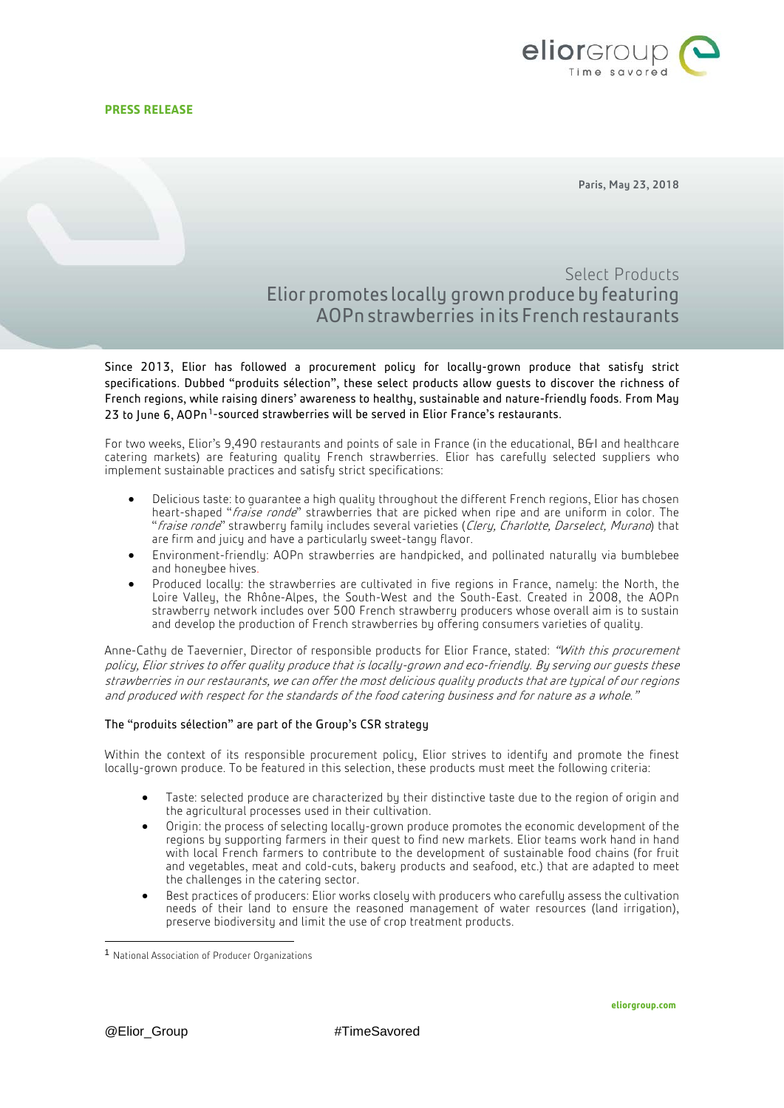



Paris, May 23, 2018

## Select Products Elior promotes locally grown produce by featuring AOPnstrawberries initsFrenchrestaurants

Since 2013, Elior has followed a procurement policy for locally-grown produce that satisfy strict specifications. Dubbed "produits sélection", these select products allow guests to discover the richness of French regions, while raising diners' awareness to healthy, sustainable and nature-friendly foods. From May 23 to June 6, AOPn<sup>1</sup>-sourced strawberries will be served in Elior France's restaurants.

For two weeks, Elior's 9,490 restaurants and points of sale in France (in the educational, B&I and healthcare catering markets) are featuring quality French strawberries. Elior has carefully selected suppliers who implement sustainable practices and satisfy strict specifications:

- Delicious taste: to quarantee a high quality throughout the different French regions. Elior has chosen heart-shaped "*fraise ronde*" strawberries that are picked when ripe and are uniform in color. The "fraise ronde" strawberry family includes several varieties (Clery, Charlotte, Darselect, Murano) that are firm and juicy and have a particularly sweet-tangy flavor.
- Environment-friendly: AOPn strawberries are handpicked, and pollinated naturally via bumblebee and honeybee hives.
- Produced locally: the strawberries are cultivated in five regions in France, namely: the North, the Loire Valley, the Rhône-Alpes, the South-West and the South-East. Created in 2008, the AOPn strawberry network includes over 500 French strawberry producers whose overall aim is to sustain and develop the production of French strawberries by offering consumers varieties of quality.

Anne-Cathy de Taevernier, Director of responsible products for Elior France, stated: "With this procurement policy, Elior strives to offer quality produce that is locally-grown and eco-friendly. By serving our guests these strawberries in our restaurants, we can offer the most delicious quality products that are typical of our regions and produced with respect for the standards of the food catering business and for nature as a whole."

## The "produits sélection" are part of the Group's CSR strategy

Within the context of its responsible procurement policy, Elior strives to identify and promote the finest locally-grown produce. To be featured in this selection, these products must meet the following criteria:

- Taste: selected produce are characterized by their distinctive taste due to the region of origin and the agricultural processes used in their cultivation.
- Origin: the process of selecting locally-grown produce promotes the economic development of the regions by supporting farmers in their quest to find new markets. Elior teams work hand in hand with local French farmers to contribute to the development of sustainable food chains (for fruit and vegetables, meat and cold-cuts, bakery products and seafood, etc.) that are adapted to meet the challenges in the catering sector.
- Best practices of producers: Elior works closely with producers who carefully assess the cultivation needs of their land to ensure the reasoned management of water resources (land irrigation), preserve biodiversity and limit the use of crop treatment products.

<span id="page-0-0"></span> <sup>1</sup> National Association of Producer Organizations